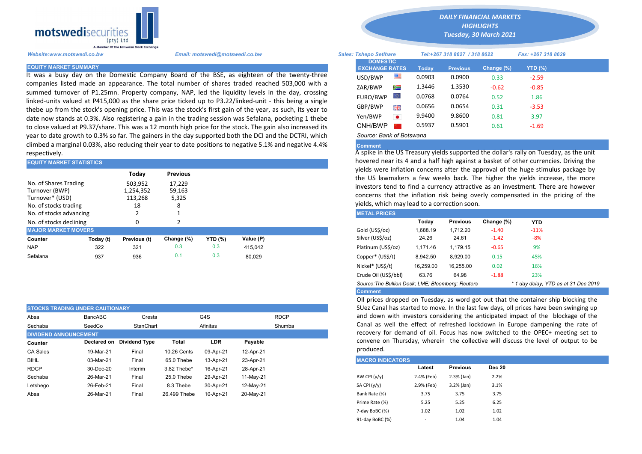

It was a busy day on the Domestic Company Board of the BSE, as eighteen of the twenty-three companies listed made an appearance. The total number of shares traded reached 503,000 with a summed turnover of P1.25mn. Property company, NAP, led the liquidity levels in the day, crossing linked-units valued at P415,000 as the share price ticked up to P3.22/linked-unit - this being a single thebe up from the stock's opening price. This was the stock's first gain of the year, as such, its year to date now stands at 0.3%. Also registering a gain in the trading session was Sefalana, pocketing 1 thebe to close valued at P9.37/share. This was a 12 month high price for the stock. The gain also increased its year to date growth to 0.3% so far. The gainers in the day supported both the DCI and the DCTRI, which climbed a marginal 0.03%, also reducing their year to date positions to negative 5.1% and negative 4.4% respectively.

| <b>EQUITY MARKET STATISTICS</b>                                                     |           |                                       |                                |                | hovered near its 4 and a half high against a basket of other currencies |  |                                                                                                                                                                                             |          |                 |            |            |  |  |  |
|-------------------------------------------------------------------------------------|-----------|---------------------------------------|--------------------------------|----------------|-------------------------------------------------------------------------|--|---------------------------------------------------------------------------------------------------------------------------------------------------------------------------------------------|----------|-----------------|------------|------------|--|--|--|
|                                                                                     |           | Today                                 | <b>Previous</b>                |                |                                                                         |  | vields were inflation concerns after the approval of the huge stimulus<br>the US lawmakers a few weeks back. The higher the yields increas                                                  |          |                 |            |            |  |  |  |
| No. of Shares Trading<br>Turnover (BWP)<br>Turnover* (USD)<br>No. of stocks trading |           | 503.952<br>1,254,352<br>113,268<br>18 | 17,229<br>59,163<br>5,325<br>8 |                |                                                                         |  | investors tend to find a currency attractive as an investment. There<br>concerns that the inflation risk being overly compensated in the po<br>yields, which may lead to a correction soon. |          |                 |            |            |  |  |  |
| No. of stocks advancing                                                             |           |                                       |                                |                |                                                                         |  | <b>METAL PRICES</b>                                                                                                                                                                         |          |                 |            |            |  |  |  |
| No. of stocks declining                                                             |           | 0                                     |                                |                |                                                                         |  |                                                                                                                                                                                             | Todav    | <b>Previous</b> | Change (%) | <b>YTD</b> |  |  |  |
| <b>MAJOR MARKET MOVERS</b>                                                          |           |                                       |                                |                |                                                                         |  | Gold (US\$/oz)                                                                                                                                                                              | 1.688.19 | 1.712.20        | $-1.40$    | $-11%$     |  |  |  |
| Counter                                                                             | Today (t) | Previous (t)                          | Change (%)                     | <b>YTD (%)</b> | Value (P)                                                               |  | Silver (US\$/oz)                                                                                                                                                                            | 24.26    | 24.61           | $-1.42$    | $-8%$      |  |  |  |
| <b>NAP</b>                                                                          | 322       | 321                                   | 0.3                            | 0.3            | 415.042                                                                 |  | Platinum (US\$/oz)                                                                                                                                                                          | 1.171.46 | 1.179.15        | $-0.65$    | 9%         |  |  |  |
| Sefalana                                                                            | 937       | 936                                   | 0.1                            | 0.3            | 80.029                                                                  |  | Copper* (US\$/t)                                                                                                                                                                            | 8,942.50 | 8,929.00        | 0.15       | 45%        |  |  |  |

| <b>STOCKS TRADING UNDER CAUTIONARY</b> |             |                      |              |                    |             |  |  |
|----------------------------------------|-------------|----------------------|--------------|--------------------|-------------|--|--|
| Absa                                   | BancABC     | Cresta               |              | G4S                | <b>RDCP</b> |  |  |
| Sechaba                                | SeedCo      | StanChart            |              | Shumba<br>Afinitas |             |  |  |
| <b>DIVIDEND ANNOUNCEMENT</b>           |             |                      |              |                    |             |  |  |
| Counter                                | Declared on | <b>Dividend Type</b> | Total        | <b>LDR</b>         | Payable     |  |  |
| CA Sales                               | 19-Mar-21   | Final                | 10.26 Cents  | 09-Apr-21          | 12-Apr-21   |  |  |
| <b>BIHL</b>                            | 03-Mar-21   | Final                | 65.0 Thebe   | 13-Apr-21          | 23-Apr-21   |  |  |
| <b>RDCP</b>                            | 30-Dec-20   | Interim              | 3.82 Thebe*  | 16-Apr-21          | 28-Apr-21   |  |  |
| Sechaba                                | 26-Mar-21   | Final                | 25.0 Thebe   | 29-Apr-21          | 11-May-21   |  |  |
| Letshego                               | 26-Feb-21   | Final                | 8.3 Thebe    | 30-Apr-21          | 12-May-21   |  |  |
| Absa                                   | 26-Mar-21   | Final                | 26,499 Thebe | 10-Apr-21          | 20-May-21   |  |  |

*DAILY FINANCIAL MARKETS*

*HIGHLIGHTS*

*Tuesday, 30 March 2021* 

| Website:www.motswedi.co.bw   | Email: motswedi@motswedi.co.bw                                                                                                                                                                             | <b>Sales: Tshepo Setlhare</b>            |           |        | Tel:+267 318 8627 / 318 8622 |               | Fax: +267 318 8629 |  |
|------------------------------|------------------------------------------------------------------------------------------------------------------------------------------------------------------------------------------------------------|------------------------------------------|-----------|--------|------------------------------|---------------|--------------------|--|
| <b>EQUITY MARKET SUMMARY</b> |                                                                                                                                                                                                            | <b>DOMESTIC</b><br><b>EXCHANGE RATES</b> |           | Todav  | <b>Previous</b>              | Change $(\%)$ | $YTD(\%)$          |  |
|                              | t was a busy day on the Domestic Company Board of the BSE, as eighteen of the twenty-three                                                                                                                 | USD/BWP                                  | ≝         | 0.0903 | 0.0900                       | 0.33          | $-2.59$            |  |
|                              | companies listed made an appearance. The total number of shares traded reached 503,000 with a                                                                                                              | ZAR/BWP                                  | ⋟≡        | 1.3446 | 1.3530                       | $-0.62$       | $-0.85$            |  |
|                              | summed turnover of P1.25mn. Property company, NAP, led the liquidity levels in the day, crossing<br>inked-units valued at P415,000 as the share price ticked up to P3.22/linked-unit - this being a single | EURO/BWP                                 |           | 0.0768 | 0.0764                       | 0.52          | 1.86               |  |
|                              | thebe up from the stock's opening price. This was the stock's first gain of the year, as such, its year to                                                                                                 | GBP/BWP                                  | 誤誤        | 0.0656 | 0.0654                       | 0.31          | $-3.53$            |  |
|                              | date now stands at 0.3%. Also registering a gain in the trading session was Sefalana, pocketing 1 thebe                                                                                                    | Yen/BWP                                  | $\bullet$ | 9.9400 | 9.8600                       | 0.81          | 3.97               |  |
|                              | to close valued at P9.37/share. This was a 12 month high price for the stock. The gain also increased its                                                                                                  | CNH/BWP                                  |           | 0.5937 | 0.5901                       | 0.61          | $-1.69$            |  |
|                              | ear to date growth to 0.3% so far. The gainers in the day supported both the DCI and the DCTRL which                                                                                                       | Source: Bank of Botswana                 |           |        |                              |               |                    |  |

## Comment

A spike in the US Treasury yields supported the dollar's rally on Tuesday, as the unit hovered near its 4 and a half high against a basket of other currencies. Driving the yields were inflation concerns after the approval of the huge stimulus package by the US lawmakers a few weeks back. The higher the yields increase, the more investors tend to find a currency attractive as an investment. There are however concerns that the inflation risk being overly compensated in the pricing of the yields, which may lead to a correction soon.

| <b>METAL PRICES</b>                                                                       |           |                 |            |        |  |  |  |  |  |  |
|-------------------------------------------------------------------------------------------|-----------|-----------------|------------|--------|--|--|--|--|--|--|
|                                                                                           | Today     | <b>Previous</b> | Change (%) | YTD    |  |  |  |  |  |  |
| Gold (US\$/oz)                                                                            | 1.688.19  | 1.712.20        | $-1.40$    | $-11%$ |  |  |  |  |  |  |
| Silver (US\$/oz)                                                                          | 24.26     | 24.61           | $-1.42$    | -8%    |  |  |  |  |  |  |
| Platinum (US\$/oz)                                                                        | 1.171.46  | 1.179.15        | $-0.65$    | 9%     |  |  |  |  |  |  |
| Copper* (US\$/t)                                                                          | 8.942.50  | 8.929.00        | 0.15       | 45%    |  |  |  |  |  |  |
| Nickel* (US\$/t)                                                                          | 16.259.00 | 16.255.00       | 0.02       | 16%    |  |  |  |  |  |  |
| Crude Oil (US\$/bbl)                                                                      | 63.76     | 64.98           | $-1.88$    | 23%    |  |  |  |  |  |  |
| Source: The Bullion Desk: LME; Bloomberg: Reuters<br>* 1 day delay, YTD as at 31 Dec 2019 |           |                 |            |        |  |  |  |  |  |  |
| <b>Comment</b>                                                                            |           |                 |            |        |  |  |  |  |  |  |

OIl prices dropped on Tuesday, as word got out that the container ship blocking the SUez Canal has started to move. In the last few days, oll prices have been swinging up and down with investors considering the anticipated impact of the blockage of the Canal as well the effect of refreshed lockdown in Europe dampening the rate of recovery for demand of oil. Focus has now switched to the OPEC+ meeting set to convene on Thursday, wherein the collective will discuss the level of output to be produced.

|                 | <b>MACRO INDICATORS</b>  |                 |               |  |  |  |  |  |  |  |  |
|-----------------|--------------------------|-----------------|---------------|--|--|--|--|--|--|--|--|
|                 | Latest                   | <b>Previous</b> | <b>Dec 20</b> |  |  |  |  |  |  |  |  |
| BW CPI $(y/y)$  | 2.4% (Feb)               | $2.3%$ (Jan)    | 2.2%          |  |  |  |  |  |  |  |  |
| SA CPI (y/y)    | 2.9% (Feb)               | $3.2%$ (Jan)    | 3.1%          |  |  |  |  |  |  |  |  |
| Bank Rate (%)   | 3.75                     | 3.75            | 3.75          |  |  |  |  |  |  |  |  |
| Prime Rate (%)  | 5.25                     | 5.25            | 6.25          |  |  |  |  |  |  |  |  |
| 7-day BoBC (%)  | 1.02                     | 1.02            | 1.02          |  |  |  |  |  |  |  |  |
| 91-day BoBC (%) | $\overline{\phantom{a}}$ | 1.04            | 1.04          |  |  |  |  |  |  |  |  |